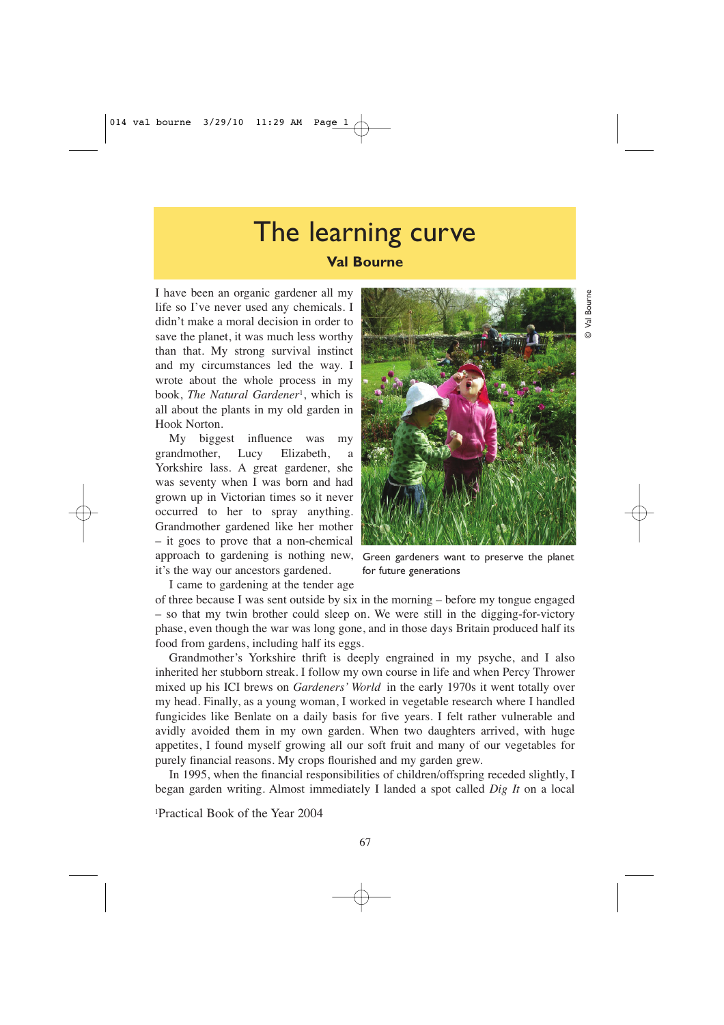# The learning curve **Val Bourne**

I have been an organic gardener all my life so I've never used any chemicals. I didn't make a moral decision in order to save the planet, it was much less worthy than that. My strong survival instinct and my circumstances led the way. I wrote about the whole process in my book, *The Natural Gardener*1, which is all about the plants in my old garden in Hook Norton.

My biggest influence was my grandmother, Lucy Elizabeth, a Yorkshire lass. A great gardener, she was seventy when I was born and had grown up in Victorian times so it never occurred to her to spray anything. Grandmother gardened like her mother – it goes to prove that a non-chemical approach to gardening is nothing new, it's the way our ancestors gardened.

Green gardeners want to preserve the planet for future generations

I came to gardening at the tender age

of three because I was sent outside by six in the morning – before my tongue engaged – so that my twin brother could sleep on. We were still in the digging-for-victory phase, even though the war was long gone, and in those days Britain produced half its food from gardens, including half its eggs.

Grandmother's Yorkshire thrift is deeply engrained in my psyche, and I also inherited her stubborn streak. I follow my own course in life and when Percy Thrower mixed up his ICI brews on *Gardeners' World* in the early 1970s it went totally over my head. Finally, as a young woman, I worked in vegetable research where I handled fungicides like Benlate on a daily basis for five years. I felt rather vulnerable and avidly avoided them in my own garden. When two daughters arrived, with huge appetites, I found myself growing all our soft fruit and many of our vegetables for purely financial reasons. My crops flourished and my garden grew.

In 1995, when the financial responsibilities of children/offspring receded slightly, I began garden writing. Almost immediately I landed a spot called *Dig It* on a local

1Practical Book of the Year 2004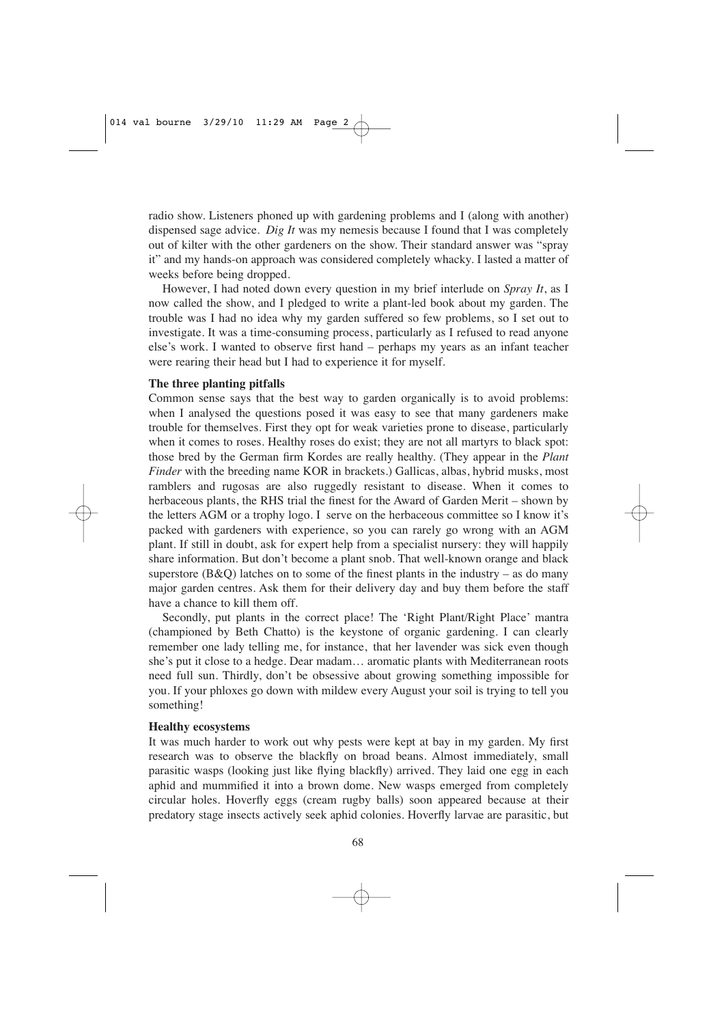radio show. Listeners phoned up with gardening problems and I (along with another) dispensed sage advice. *Dig It* was my nemesis because I found that I was completely out of kilter with the other gardeners on the show. Their standard answer was "spray it" and my hands-on approach was considered completely whacky. I lasted a matter of weeks before being dropped.

However, I had noted down every question in my brief interlude on *Spray It*, as I now called the show, and I pledged to write a plant-led book about my garden. The trouble was I had no idea why my garden suffered so few problems, so I set out to investigate. It was a time-consuming process, particularly as I refused to read anyone else's work. I wanted to observe first hand – perhaps my years as an infant teacher were rearing their head but I had to experience it for myself.

### **The three planting pitfalls**

Common sense says that the best way to garden organically is to avoid problems: when I analysed the questions posed it was easy to see that many gardeners make trouble for themselves. First they opt for weak varieties prone to disease, particularly when it comes to roses. Healthy roses do exist; they are not all martyrs to black spot: those bred by the German firm Kordes are really healthy. (They appear in the *Plant Finder* with the breeding name KOR in brackets.) Gallicas, albas, hybrid musks, most ramblers and rugosas are also ruggedly resistant to disease. When it comes to herbaceous plants, the RHS trial the finest for the Award of Garden Merit – shown by the letters AGM or a trophy logo. I serve on the herbaceous committee so I know it's packed with gardeners with experience, so you can rarely go wrong with an AGM plant. If still in doubt, ask for expert help from a specialist nursery: they will happily share information. But don't become a plant snob. That well-known orange and black superstore (B&Q) latches on to some of the finest plants in the industry – as do many major garden centres. Ask them for their delivery day and buy them before the staff have a chance to kill them off.

Secondly, put plants in the correct place! The 'Right Plant/Right Place' mantra (championed by Beth Chatto) is the keystone of organic gardening. I can clearly remember one lady telling me, for instance, that her lavender was sick even though she's put it close to a hedge. Dear madam… aromatic plants with Mediterranean roots need full sun. Thirdly, don't be obsessive about growing something impossible for you. If your phloxes go down with mildew every August your soil is trying to tell you something!

## **Healthy ecosystems**

It was much harder to work out why pests were kept at bay in my garden. My first research was to observe the blackfly on broad beans. Almost immediately, small parasitic wasps (looking just like flying blackfly) arrived. They laid one egg in each aphid and mummified it into a brown dome. New wasps emerged from completely circular holes. Hoverfly eggs (cream rugby balls) soon appeared because at their predatory stage insects actively seek aphid colonies. Hoverfly larvae are parasitic, but